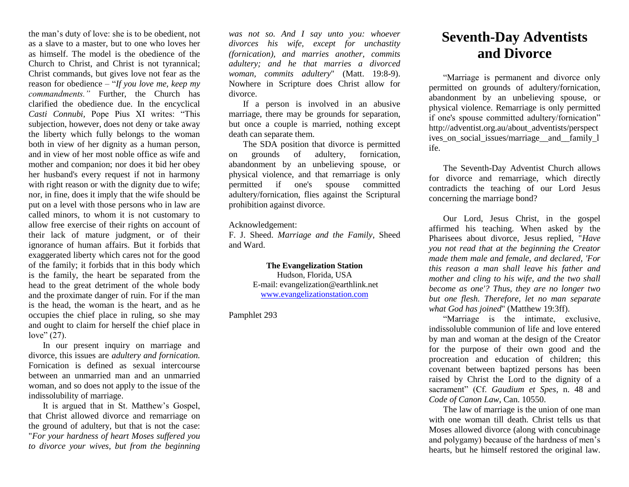the man's duty of love: she is to be obedient, not as a slave to a master, but to one who loves her as himself. The model is the obedience of the Church to Christ, and Christ is not tyrannical; Christ commands, but gives love not fear as the reason for obedience – "*If you love me, keep my commandments."* Further, the Church has clarified the obedience due. In the encyclical *Casti Connubi,* Pope Pius XI writes: "This subjection, however, does not deny or take away the liberty which fully belongs to the woman both in view of her dignity as a human person, and in view of her most noble office as wife and mother and companion; nor does it bid her obey her husband's every request if not in harmony with right reason or with the dignity due to wife; nor, in fine, does it imply that the wife should be put on a level with those persons who in law are called minors, to whom it is not customary to allow free exercise of their rights on account of their lack of mature judgment, or of their ignorance of human affairs. But it forbids that exaggerated liberty which cares not for the good of the family; it forbids that in this body which is the family, the heart be separated from the head to the great detriment of the whole body and the proximate danger of ruin. For if the man is the head, the woman is the heart, and as he occupies the chief place in ruling, so she may and ought to claim for herself the chief place in love"  $(27)$ .

In our present inquiry on marriage and divorce, this issues are *adultery and fornication.*  Fornication is defined as sexual intercourse between an unmarried man and an unmarried woman, and so does not apply to the issue of the indissolubility of marriage.

It is argued that in St. Matthew's Gospel, that Christ allowed divorce and remarriage on the ground of adultery, but that is not the case: "*For your hardness of heart Moses suffered you to divorce your wives, but from the beginning* 

*was not so. And I say unto you: whoever divorces his wife, except for unchastity (fornication), and marries another, commits adultery; and he that marries a divorced woman, commits adultery*" (Matt. 19:8-9). Nowhere in Scripture does Christ allow for divorce.

If a person is involved in an abusive marriage, there may be grounds for separation, but once a couple is married, nothing except death can separate them.

The SDA position that divorce is permitted on grounds of adultery, fornication, abandonment by an unbelieving spouse, or physical violence, and that remarriage is only permitted if one's spouse committed adultery/fornication, flies against the Scriptural prohibition against divorce.

Acknowledgement:

F. J. Sheed. *Marriage and the Family*, Sheed and Ward.

> **The Evangelization Station** Hudson, Florida, USA

E-mail: evangelization@earthlink.net [www.evangelizationstation.com](http://www.pjpiisoe.org/)

Pamphlet 293

## **Seventh-Day Adventists and Divorce**

"Marriage is permanent and divorce only permitted on grounds of adultery/fornication, abandonment by an unbelieving spouse, or physical violence. Remarriage is only permitted if one's spouse committed adultery/fornication" http://adventist.org.au/about\_adventists/perspect ives on social issues/marriage and family l ife.

The Seventh-Day Adventist Church allows for divorce and remarriage, which directly contradicts the teaching of our Lord Jesus concerning the marriage bond?

Our Lord, Jesus Christ, in the gospel affirmed his teaching. When asked by the Pharisees about divorce, Jesus replied, "*Have you not read that at the beginning the Creator made them male and female, and declared, 'For this reason a man shall leave his father and mother and cling to his wife, and the two shall become as one'? Thus, they are no longer two but one flesh. Therefore, let no man separate what God has joined*" (Matthew 19:3ff).

"Marriage is the intimate, exclusive, indissoluble communion of life and love entered by man and woman at the design of the Creator for the purpose of their own good and the procreation and education of children; this covenant between baptized persons has been raised by Christ the Lord to the dignity of a sacrament" (Cf. *Gaudium et Spes*, n. 48 and *Code of Canon Law*, Can. 10550.

The law of marriage is the union of one man with one woman till death. Christ tells us that Moses allowed divorce (along with concubinage and polygamy) because of the hardness of men's hearts, but he himself restored the original law.